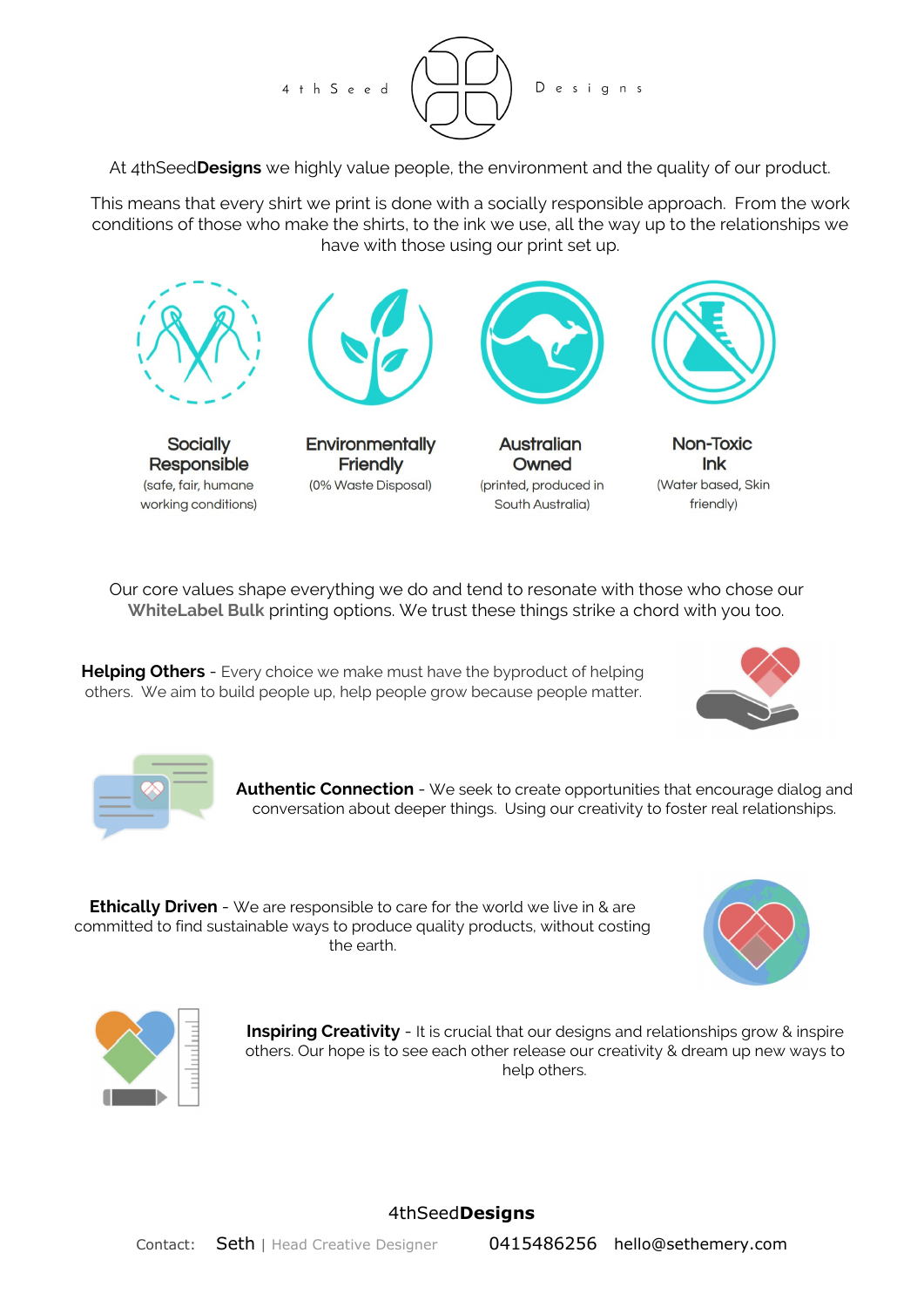

At 4thSeed**Designs** we highly value people, the environment and the quality of our product.

This means that every shirt we print is done with a socially responsible approach. From the work conditions of those who make the shirts, to the ink we use, all the way up to the relationships we have with those using our print set up.



Our core values shape everything we do and tend to resonate with those who chose our **WhiteLabel Bulk** printing options. We trust these things strike a chord with you too.

**Helping Others** - Every choice we make must have the byproduct of helping others. We aim to build people up, help people grow because people matter.





**Authentic Connection** - We seek to create opportunities that encourage dialog and conversation about deeper things. Using our creativity to foster real relationships.

**Ethically Driven** - We are responsible to care for the world we live in & are committed to find sustainable ways to produce quality products, without costing the earth.





**Inspiring Creativity** - It is crucial that our designs and relationships grow & inspire others. Our hope is to see each other release our creativity & dream up new ways to help others.

## 4thSeed**Designs**